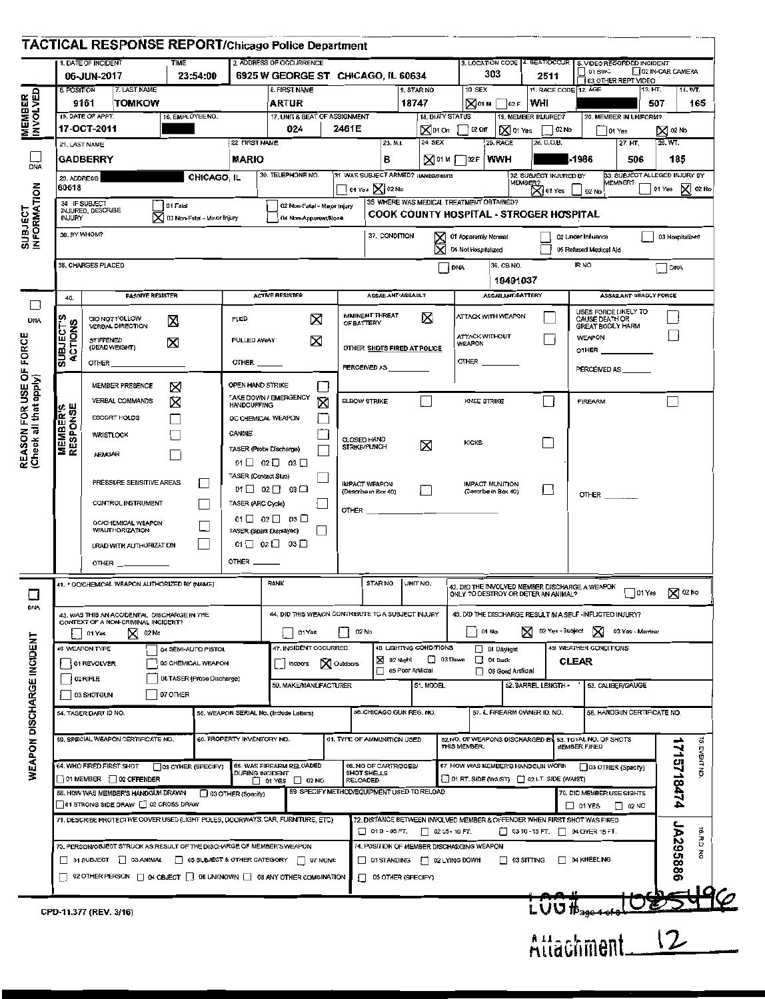|                                | TACTICAL RESPONSE REPORT/Chicago Police Department                                                                                                             |                            |                                                               |                                                                                  |                                     |                                                                                          |                                                                                |                                 |                                                  |                                                                |                                    |                                                             |                                       |                                          |                  |                |
|--------------------------------|----------------------------------------------------------------------------------------------------------------------------------------------------------------|----------------------------|---------------------------------------------------------------|----------------------------------------------------------------------------------|-------------------------------------|------------------------------------------------------------------------------------------|--------------------------------------------------------------------------------|---------------------------------|--------------------------------------------------|----------------------------------------------------------------|------------------------------------|-------------------------------------------------------------|---------------------------------------|------------------------------------------|------------------|----------------|
|                                | 1. DATE OF INCIDENT                                                                                                                                            | <b>TIME</b>                |                                                               | 2. ADDRESS OF OCCURRENCE                                                         |                                     |                                                                                          |                                                                                |                                 |                                                  |                                                                |                                    | 3. LOCATION CODE 4. BEAT/OCCUR   5. VIDEO RECORDED INCIDENT | $\bigcup$ 01 BWC                      |                                          | 02 IN-CAR CAMERA |                |
| 6. POSITION                    | 06-JUN-2017<br>7. LAST NAME                                                                                                                                    | 23:54:00                   |                                                               | 6925 W GEORGE ST CHICAGO, IL 60634<br>8. FIRST NAME                              |                                     |                                                                                          |                                                                                | 9. STAR NO                      |                                                  | 10 SEX                                                         | 303                                | 2511                                                        |                                       | 03 OTHER REPT VIDEO                      |                  |                |
|                                | 9161<br><b>TOMKOW</b>                                                                                                                                          |                            |                                                               | <b>ARTUR</b>                                                                     |                                     |                                                                                          |                                                                                | 18747                           |                                                  |                                                                | $\mathbb{R}$ 01 м $\bigcap$ 02 F   | 11. RACE CODE 12 AGE<br> WHI                                |                                       |                                          | 13. HT,<br>507   | 14. WT.<br>165 |
|                                | 15. DATE OF APPT.                                                                                                                                              | 16. EMPLOYEE NO.           |                                                               | 17. UNIT & BEAT OF ASSIGNMENT                                                    |                                     |                                                                                          |                                                                                |                                 | 18. DUTY STATUS                                  |                                                                |                                    | 19. MEMBER INJURED?                                         |                                       | 20. MEMBER IN UNIFORM?                   |                  |                |
| MEMBER<br>21. LAST NAME        | 17-OCT-2011                                                                                                                                                    |                            | 22 FIRST NAME                                                 | 024                                                                              |                                     | 2461E                                                                                    | 23. M.I.                                                                       |                                 | 24 SEX                                           | ∑010n ∏020nf                                                   | <b>S</b> 01 Yes<br><b>25, RACE</b> | $ $ 02 No<br>26. D.O.B.                                     |                                       | 01 Yes<br>27. HT.                        | ⊠∞м<br>28. WT.   |                |
|                                | <b>GADBERRY</b>                                                                                                                                                |                            | <b>MARIO</b>                                                  |                                                                                  |                                     |                                                                                          | в                                                                              |                                 |                                                  | $\mathbb{Z}$ <sup>01 M</sup> $\mathbb{T}$ <sup>02 F</sup> (WWH |                                    |                                                             | $-1986$                               | 506                                      | 185              |                |
| DNA<br>29. ADDRESS             |                                                                                                                                                                | CHICAGO, IL                |                                                               | 30. TELEPHONE NO.                                                                |                                     |                                                                                          | 31 WAS SUBJECT ARMED? HANDS/FISTS                                              |                                 |                                                  |                                                                |                                    | 32. SUBJECT INJURED BY                                      |                                       | 33. SUBJECT ALLEGED INJURY BY<br>MEMBER? |                  |                |
| <b>SUBJECT<br/>INFORMATION</b> | 60618<br>34 IF SUBJECT                                                                                                                                         |                            |                                                               |                                                                                  |                                     |                                                                                          | $\lceil$ 01 Yes $\bigtimes$ 02 No                                              |                                 |                                                  | 35 WHERE WAS MEDICAL TREATMENT OBTAINED?                       |                                    | MEMBER?<br>X 01 Yes                                         | $102$ No                              |                                          | 01 Yes × 02 No   |                |
|                                | 01 Fatal<br>02 Non-Fatal - Major Injury<br>INJURED, DESCRIBE<br>X 03 Non-Fatal - Minor Injury<br><b>INJURY</b><br>04 Non-Apparent/None                         |                            |                                                               |                                                                                  |                                     |                                                                                          |                                                                                |                                 |                                                  |                                                                |                                    | <b>COOK COUNTY HOSPITAL - STROGER HOSPITAL</b>              |                                       |                                          |                  |                |
|                                | 36. BY WHOM?                                                                                                                                                   |                            |                                                               |                                                                                  |                                     |                                                                                          | 37. CONDITION<br>01 Apparently Normal<br>02 Under Influence<br>03 Hospitalized |                                 |                                                  |                                                                |                                    |                                                             |                                       |                                          |                  |                |
|                                |                                                                                                                                                                |                            |                                                               |                                                                                  |                                     |                                                                                          |                                                                                |                                 |                                                  | 04 Not Hospitalized                                            |                                    |                                                             | 05 Refused Medical Ald                |                                          |                  |                |
|                                | 38. CHARGES PLACED                                                                                                                                             |                            |                                                               |                                                                                  |                                     |                                                                                          |                                                                                |                                 |                                                  | <b>DNA</b>                                                     | 39. CB NO.<br>19491037             |                                                             | <b>IRNO</b>                           |                                          | <b>DNA</b>       |                |
| 40.                            | <b>PASSIVE RESISTER</b>                                                                                                                                        |                            |                                                               | <b>ACTIVE RESISTER</b>                                                           |                                     |                                                                                          | ASSAILANT ASSAULT                                                              |                                 |                                                  |                                                                | ASSAILANT:BATTERY                  |                                                             |                                       | ASSAILANT DEADLY FORCE                   |                  |                |
|                                |                                                                                                                                                                |                            | <b>FLED</b>                                                   |                                                                                  |                                     |                                                                                          | IMMINENT THREAT                                                                |                                 |                                                  |                                                                | ATTACK WITH WEAPON                 |                                                             |                                       | USES FORCE LIKELY TO                     |                  |                |
|                                | <b>SUBJECT'S</b><br>DID NOT FOLLOW<br>図<br>ACTIONS<br><b>VERBAL DIRECTION</b><br><b>STIFFENED</b><br>X<br>(DEAD WEIGHT)                                        |                            | X                                                             |                                                                                  |                                     | Ø<br>OF BATTERY                                                                          |                                                                                |                                 | <b>ATTACK WITHOUT</b>                            |                                                                |                                    | CAUSE DEATH OR<br><b>GREAT BODILY HARM</b><br><b>WEAPON</b> |                                       |                                          |                  |                |
|                                |                                                                                                                                                                |                            | ×<br><b>PULLED AWAY</b>                                       |                                                                                  |                                     | OTHER SHOTS FIRED AT POLICE                                                              |                                                                                |                                 | WEAPON                                           |                                                                |                                    | OTHER ____                                                  |                                       |                                          |                  |                |
|                                | <b>OTHER</b>                                                                                                                                                   |                            | $0$ THER $\_\_$                                               |                                                                                  |                                     |                                                                                          | PERCEIVED AS                                                                   |                                 |                                                  | OTHER _                                                        |                                    |                                                             |                                       | PERCEIVED AS                             |                  |                |
|                                | MEMBER PRESENCE                                                                                                                                                | X                          | OPEN HAND STRIKE                                              |                                                                                  | Π                                   |                                                                                          |                                                                                |                                 |                                                  |                                                                |                                    |                                                             |                                       |                                          |                  |                |
|                                | VERBAL COMMANDS                                                                                                                                                | ⊠                          | <b>HANDCUFFING</b>                                            | TAKE DOWN / EMERGENCY                                                            | Ø                                   |                                                                                          | ELBOW STRIKE                                                                   |                                 |                                                  | KNEE STRIKE                                                    |                                    | Li                                                          | <b>FIREARM</b>                        |                                          |                  |                |
|                                | ESCORT HOLDS                                                                                                                                                   |                            | CANINE                                                        | OC CHEMICAL WEAPON                                                               |                                     |                                                                                          |                                                                                |                                 |                                                  |                                                                |                                    |                                                             |                                       |                                          |                  |                |
| <b>MEMBER'S</b><br>RESPONSE    | <b>WRISTLOCK</b>                                                                                                                                               |                            | TASER (Probe Discharge)                                       |                                                                                  |                                     |                                                                                          | <b>CLOSED HAND</b><br><b>STRIKE/PUNCH</b>                                      |                                 | ⊠                                                | <b>KICKS</b>                                                   |                                    |                                                             |                                       |                                          |                  |                |
| (Check all that apply)         | <b>ARMBAR</b>                                                                                                                                                  |                            |                                                               | $01 \square 02 \square 03 \square$                                               |                                     |                                                                                          |                                                                                |                                 |                                                  |                                                                |                                    |                                                             |                                       |                                          |                  |                |
|                                | PRESSURE SENSITIVE AREAS                                                                                                                                       |                            | TASER (Contact Slun)<br>$01 \Box 02 \Box 03 \Box$             |                                                                                  |                                     |                                                                                          |                                                                                | <b>IMPACT WEAPON</b>            |                                                  | IMPACT MUNITION                                                |                                    |                                                             |                                       |                                          |                  |                |
|                                | CONTROL INSTRUMENT                                                                                                                                             |                            | TASER (ARC Cycle)                                             |                                                                                  |                                     | (Describe in Box 40)                                                                     |                                                                                |                                 | (Describe in Box 40)                             |                                                                |                                    | $^{\circ}$ other                                            |                                       |                                          |                  |                |
|                                | OC/CHEMICAL WEAPON                                                                                                                                             |                            |                                                               | $01 \Box 02 \Box 03 \Box$                                                        |                                     | OTHER <b>Example 2012</b>                                                                |                                                                                |                                 |                                                  |                                                                |                                    |                                                             |                                       |                                          |                  |                |
|                                | <b>WAUTHORIZATION</b><br><b>LRAD WITH AUTHORIZATION</b>                                                                                                        |                            | TASER (Spark Displayed)<br>$01 \square 02 \square 03 \square$ |                                                                                  |                                     |                                                                                          |                                                                                |                                 |                                                  |                                                                |                                    |                                                             |                                       |                                          |                  |                |
|                                | OTHER                                                                                                                                                          |                            | OTHER $\_\_\_\_\$                                             |                                                                                  |                                     |                                                                                          |                                                                                |                                 |                                                  |                                                                |                                    |                                                             |                                       |                                          |                  |                |
|                                | 41. * OC/CHEMICAL WEAPON AUTHORIZED BY (NAME)                                                                                                                  |                            |                                                               | RANK                                                                             |                                     |                                                                                          | STAR NO                                                                        | UNIT NO.                        |                                                  |                                                                |                                    | 42. DID THE INVOLVED MEMBER DISCHARGE A WEAPON              |                                       |                                          |                  |                |
|                                |                                                                                                                                                                |                            |                                                               |                                                                                  |                                     |                                                                                          |                                                                                |                                 |                                                  |                                                                |                                    | ONLY TO DESTROY OR DETER AN ANIMAL?                         |                                       | $ 01Y$ es                                |                  | <b>X</b> 02 No |
|                                | 43. WAS THIS AN ACCIDENTAL DISCHARGE IN THE<br>CONTEXT OF A NON-CRIMINAL INCIDENT?                                                                             |                            |                                                               | 44, DID THIS WEACN CONTRIBUTE TO A SUBJECT INJURY                                |                                     |                                                                                          |                                                                                |                                 |                                                  |                                                                |                                    | 45. DID THE DISCHARGE RESULT IN A SELF -INFLICTED INJURY?   |                                       |                                          |                  |                |
|                                | XJ 02.No<br>01 Yes                                                                                                                                             |                            |                                                               | 01 Yes                                                                           |                                     |                                                                                          | 02 No                                                                          | <b>4B LIGHTING CONDITIONS</b>   |                                                  |                                                                | 01 No                              | 12 Yes - Subject                                            | $\bowtie$                             | 03 Yes - Member                          |                  |                |
|                                | 46 WEAPON TYPE<br>04 SEMI-AUTO PISTOL<br>101 REVOLVER<br>05 CHEMICAL WEAPON                                                                                    |                            |                                                               | Indoors                                                                          | 47. INCIDENT OCCURRED<br>X Ouldoors |                                                                                          |                                                                                | XI D2 Night<br>$\Box$ 03 Dawn   |                                                  | 1 01 Daylight<br>$\Box$ 04 Duck                                |                                    |                                                             | 49 WEATHER CONDITIONS<br><b>CLEAR</b> |                                          |                  |                |
|                                | 02 RIFLE                                                                                                                                                       | D6 TASER (Probe Discharge) |                                                               | 50. MAKE/MANUFACTURER                                                            |                                     |                                                                                          |                                                                                | 05 Poor Artificial<br>51, MODEL |                                                  |                                                                | 06 Good Artificial                 | 52. BARREL LENGTH .                                         |                                       | 53. CALIBER/GAUGE                        |                  |                |
|                                | 03 SHOTGUN                                                                                                                                                     | 07 OTHER                   |                                                               |                                                                                  |                                     |                                                                                          |                                                                                |                                 |                                                  |                                                                |                                    |                                                             |                                       |                                          |                  |                |
|                                | 54. TASER DART ID NO.                                                                                                                                          |                            |                                                               | 55. WEAPON SERIAL No. (Include Letters)                                          |                                     |                                                                                          | 56. CHICAGO GUN REG. NO.                                                       |                                 | 57. IL FIREARM OWNER ID. NO.                     |                                                                |                                    | 58. HANDGUN CERTIFICATE NO.                                 |                                       |                                          |                  |                |
|                                | 59. SPECIAL WEAPON CERTIFICATE NO.                                                                                                                             |                            |                                                               | 60. PROPERTY INVENTORY NO.                                                       |                                     |                                                                                          | 61. TYPE OF AMMUNITION USED                                                    |                                 | 62 NO. OF WEAPONS DISCHARGED BY                  |                                                                |                                    | 63. TOTAL NO. OF SHOTS                                      |                                       |                                          | ă                |                |
|                                |                                                                                                                                                                |                            |                                                               |                                                                                  |                                     |                                                                                          |                                                                                |                                 | THIS MEMBER.<br>67 HOW WAS MEMBER'S HANDGUN WORN |                                                                |                                    | <b>MEMBER FIRED</b>                                         |                                       |                                          | <b>EVENT NO</b>  |                |
|                                | 64. WHO FIRED FIRST SHOT<br>33 OTHER (SPECIFY)<br>O1 MEMBER [ 02 OFFENDER                                                                                      |                            |                                                               | 65. WAS FIREARM RELOADED<br><b>DURING INCIDENT</b><br>$\Box$ 01 YES $\Box$ 02 NO |                                     |                                                                                          | 66. NO OF CARTRIDGES/<br><b>SHOT SHELLS</b><br>RELOADED                        |                                 |                                                  | $\Box$ 01 RT, SIDE (WAIST) $\Box$ 02 LT. SIDE (WAIST)          |                                    | O3 OTHER (Specify)                                          |                                       |                                          | 1715718474       |                |
|                                | 68. HOW WAS MEMBER'S HANDGUN DRAWN                                                                                                                             | 03 OTHER (Specify)         |                                                               |                                                                                  |                                     | 69 SPECIFY METHOD/EQUIPMENT USED TO RELOAD                                               |                                                                                |                                 |                                                  |                                                                | 70, DID MEMBER USE SIGHTS          |                                                             |                                       |                                          |                  |                |
|                                | 101 STRONG SIDE DRAW 102 CROSS DRAW<br>71. DESCRIBE PROTECTIVE COVER USED (LIGHT POLES, DOORWAYS, CAR, FURNITURE, ETC)                                         |                            |                                                               |                                                                                  |                                     | 72. DISTANCE BETWEEN INVOLVED MEMBER & OFFENDER WHEN FIRST SHOT WAS FIRED                |                                                                                |                                 |                                                  |                                                                | $\Box$ 01 YES                      | $\Box$ 02 NO                                                |                                       |                                          |                  |                |
|                                |                                                                                                                                                                |                            |                                                               |                                                                                  |                                     | $\Box$ 01 D - 05 FT,<br>$\Box$ 02 05 - 10 FT.                                            |                                                                                |                                 |                                                  | $\Box$ 0310-15 FT. $\Box$ D4 OVER 15 FT.                       |                                    | 召                                                           |                                       |                                          |                  |                |
|                                | 73. PERSON/OBJECT STRUCK AS RESULT OF THE DISCHARGE OF MEMBER'S WEAPON<br>$\Box$ 01 SUBJECT $\Box$ 03 ANIMAL $\Box$ 05 SUBJECT & OTHER CATEGORY $\Box$ 07 NONE |                            |                                                               |                                                                                  |                                     | 74. POSITION OF MEMBER DISCHARGING WEAPON<br>01 STANDING 1 02 LYING DOWN<br>∏ 03 SITTING |                                                                                |                                 |                                                  |                                                                | 1A295886<br><b>D4 KNEELING</b>     |                                                             |                                       |                                          |                  |                |
|                                | $\Box$ 02 OTHER PERSON $\Box$ 04 OBJECT $\Box$ 06 UNKNOWN $\Box$ 08 ANY OTHER COMBINATION                                                                      |                            |                                                               |                                                                                  | $\Box$ 05 OTHER (SPECIFY)           |                                                                                          |                                                                                |                                 |                                                  |                                                                |                                    |                                                             |                                       |                                          |                  |                |
|                                |                                                                                                                                                                |                            |                                                               |                                                                                  |                                     |                                                                                          |                                                                                |                                 |                                                  |                                                                |                                    |                                                             |                                       |                                          |                  |                |
|                                | CPD-11.377 (REV. 3/16)                                                                                                                                         |                            |                                                               |                                                                                  |                                     |                                                                                          |                                                                                |                                 |                                                  |                                                                |                                    | LUG <sub>Hassarss</sub> LO <del>OSS911</del> 4              |                                       |                                          |                  |                |
|                                |                                                                                                                                                                |                            |                                                               |                                                                                  |                                     |                                                                                          |                                                                                |                                 |                                                  |                                                                |                                    |                                                             |                                       |                                          |                  |                |
|                                |                                                                                                                                                                |                            |                                                               |                                                                                  |                                     |                                                                                          |                                                                                |                                 |                                                  |                                                                |                                    |                                                             |                                       |                                          |                  |                |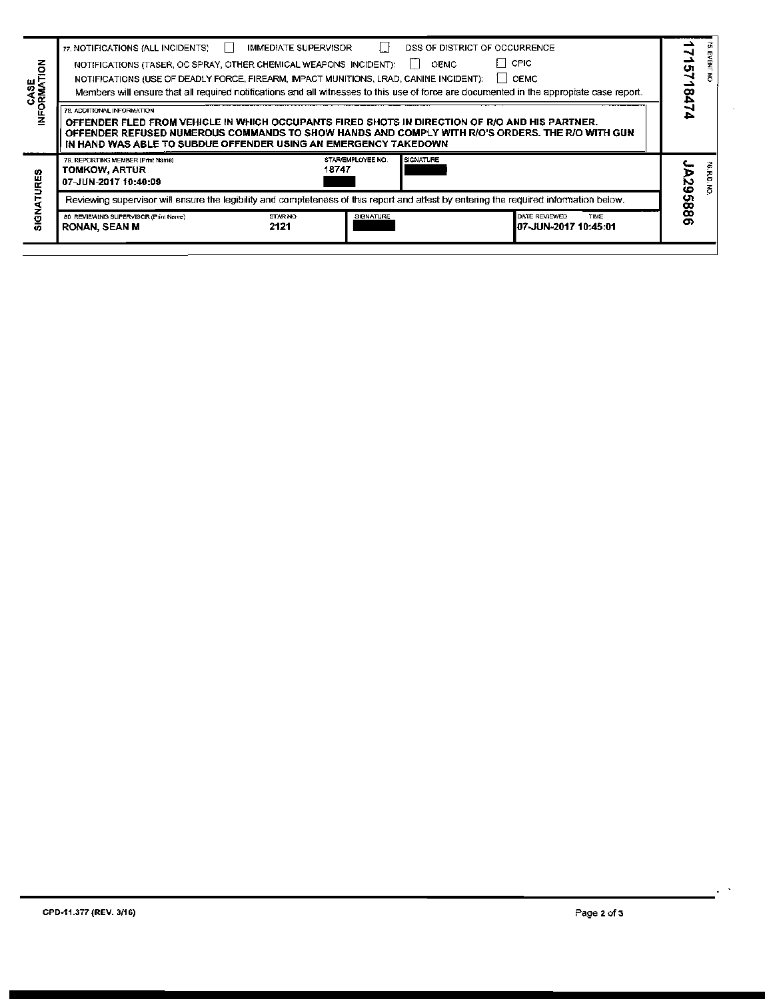|                   | 80 REVIEWING SUPERVISOR (Print Name)<br><b>RONAN, SEAN M</b>                                                                                                                                                                                                                                       | STAR NO<br>2121             | SIGNATURE                                      | DATE REVIEWED<br>TIME<br>I07-JUN-2017 10:45:01                                                                                                                                                                         |            |  |  |
|-------------------|----------------------------------------------------------------------------------------------------------------------------------------------------------------------------------------------------------------------------------------------------------------------------------------------------|-----------------------------|------------------------------------------------|------------------------------------------------------------------------------------------------------------------------------------------------------------------------------------------------------------------------|------------|--|--|
| <b>SIGNAT</b>     |                                                                                                                                                                                                                                                                                                    |                             |                                                | Reviewing supervisor will ensure the legibility and completeness of this report and attest by entering the required information below.                                                                                 | 295886     |  |  |
| z<br><b>URES</b>  | 79. REPORTING MEMBER (Print Name)<br><b>TOMKOW, ARTUR</b><br>07-JUN-2017 10:40:09                                                                                                                                                                                                                  |                             | <b>SIGNATURE</b><br>STAR/EMPLOYEE NO.<br>18747 |                                                                                                                                                                                                                        |            |  |  |
|                   | 78. ADDITIONAL INFORMATION<br>OFFENDER FLED FROM VEHICLE IN WHICH OCCUPANTS FIRED SHOTS IN DIRECTION OF R/O AND HIS PARTNER.<br>OFFENDER REFUSED NUMEROUS COMMANDS TO SHOW HANDS AND COMPLY WITH R/O'S ORDERS. THE R/O WITH GUN<br>IN HAND WAS ABLE TO SUBDUE OFFENDER USING AN EMERGENCY TAKEDOWN |                             |                                                |                                                                                                                                                                                                                        |            |  |  |
| CASE<br>FORMATION | 77. NOTIFICATIONS (ALL INCIDENTS)<br>NOTIFICATIONS (TASER, OC SPRAY, OTHER CHEMICAL WEAPONS INCIDENT):<br>NOTIFICATIONS (USE OF DEADLY FORCE, FIREARM, IMPACT MUNITIONS, LRAD, CANINE INCIDENT):                                                                                                   | <b>IMMEDIATE SUPERVISOR</b> |                                                | DSS OF DISTRICT OF OCCURRENCE<br><b>CPIC</b><br><b>OEMC</b><br><b>OEMC</b><br>Members will ensure that all required notifications and all witnesses to this use of force are documented in the appropiate case report. | U1<br>5474 |  |  |